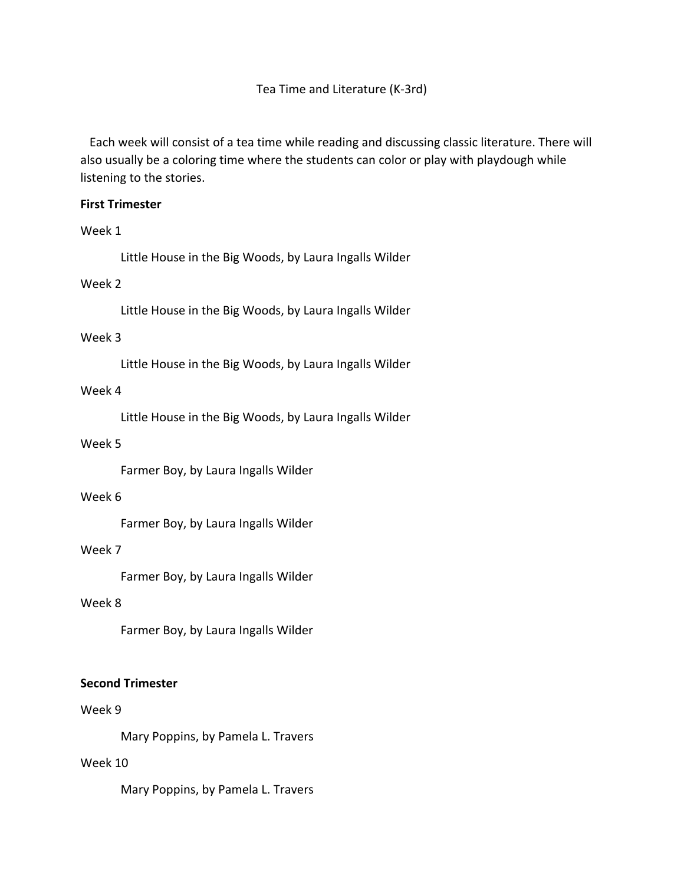Tea Time and Literature (K-3rd)

 Each week will consist of a tea time while reading and discussing classic literature. There will also usually be a coloring time where the students can color or play with playdough while listening to the stories.

## **First Trimester**

## Week 1

Little House in the Big Woods, by Laura Ingalls Wilder

# Week 2

Little House in the Big Woods, by Laura Ingalls Wilder

## Week 3

Little House in the Big Woods, by Laura Ingalls Wilder

## Week 4

Little House in the Big Woods, by Laura Ingalls Wilder

## Week 5

Farmer Boy, by Laura Ingalls Wilder

## Week 6

Farmer Boy, by Laura Ingalls Wilder

## Week 7

Farmer Boy, by Laura Ingalls Wilder

# Week 8

Farmer Boy, by Laura Ingalls Wilder

## **Second Trimester**

## Week 9

Mary Poppins, by Pamela L. Travers

# Week 10

Mary Poppins, by Pamela L. Travers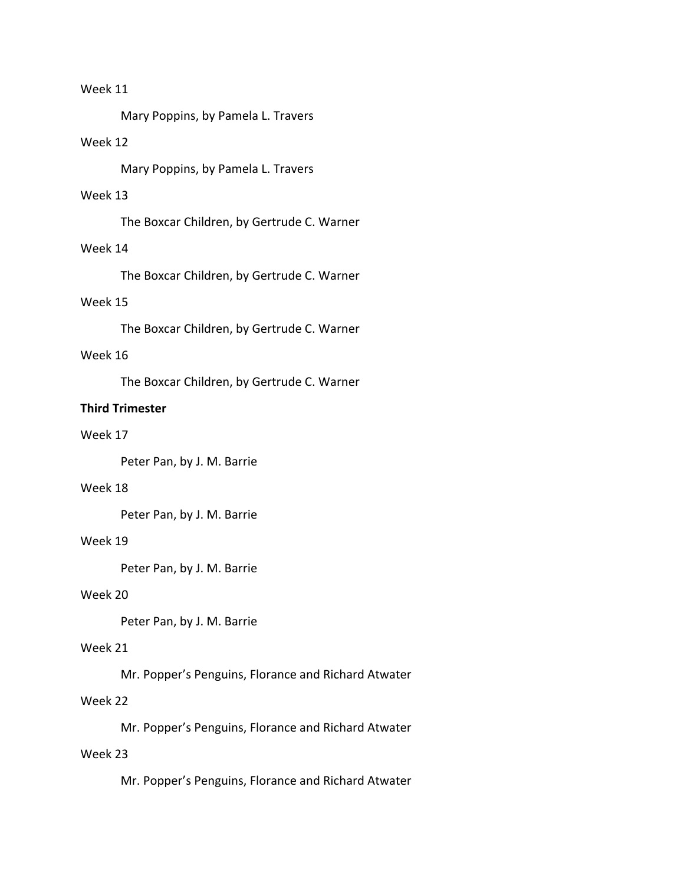# Week 11

Mary Poppins, by Pamela L. Travers

# Week 12

Mary Poppins, by Pamela L. Travers

#### Week 13

The Boxcar Children, by Gertrude C. Warner

### Week 14

The Boxcar Children, by Gertrude C. Warner

## Week 15

The Boxcar Children, by Gertrude C. Warner

#### Week 16

The Boxcar Children, by Gertrude C. Warner

#### **Third Trimester**

#### Week 17

Peter Pan, by J. M. Barrie

#### Week 18

Peter Pan, by J. M. Barrie

#### Week 19

Peter Pan, by J. M. Barrie

#### Week 20

Peter Pan, by J. M. Barrie

## Week 21

Mr. Popper's Penguins, Florance and Richard Atwater

# Week 22

Mr. Popper's Penguins, Florance and Richard Atwater

## Week 23

Mr. Popper's Penguins, Florance and Richard Atwater